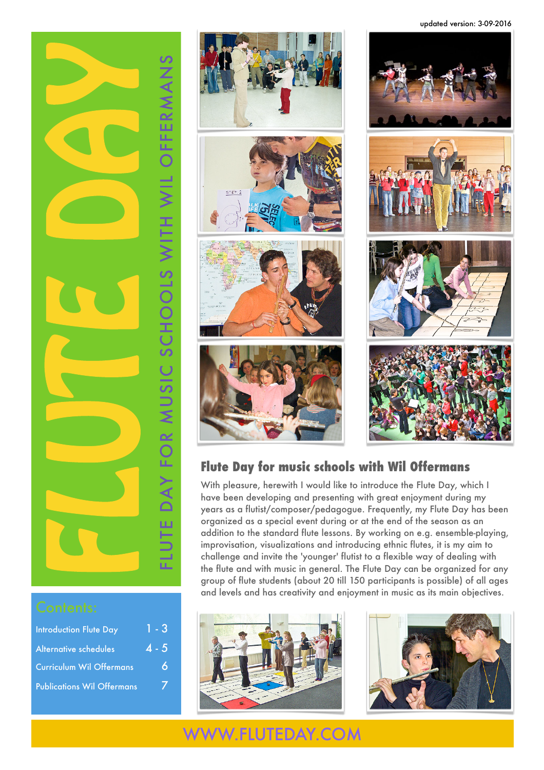updated version: 3-09-2016



| <b>Introduction Flute Day</b>     | $1 - 3$ |
|-----------------------------------|---------|
| <b>Alternative schedules</b>      | $4 - 5$ |
| <b>Curriculum Wil Offermans</b>   | 6       |
| <b>Publications Wil Offermans</b> |         |



## **Flute Day for music schools with Wil Offermans**

With pleasure, herewith I would like to introduce the Flute Day, which I have been developing and presenting with great enjoyment during my years as a flutist/composer/pedagogue. Frequently, my Flute Day has been organized as a special event during or at the end of the season as an addition to the standard flute lessons. By working on e.g. ensemble-playing, improvisation, visualizations and introducing ethnic flutes, it is my aim to challenge and invite the 'younger' flutist to a flexible way of dealing with the flute and with music in general. The Flute Day can be organized for any group of flute students (about 20 till 150 participants is possible) of all ages and levels and has creativity and enjoyment in music as its main objectives.





## [WWW.FLUTEDAY.COM](http://www.fluteday.com/en/)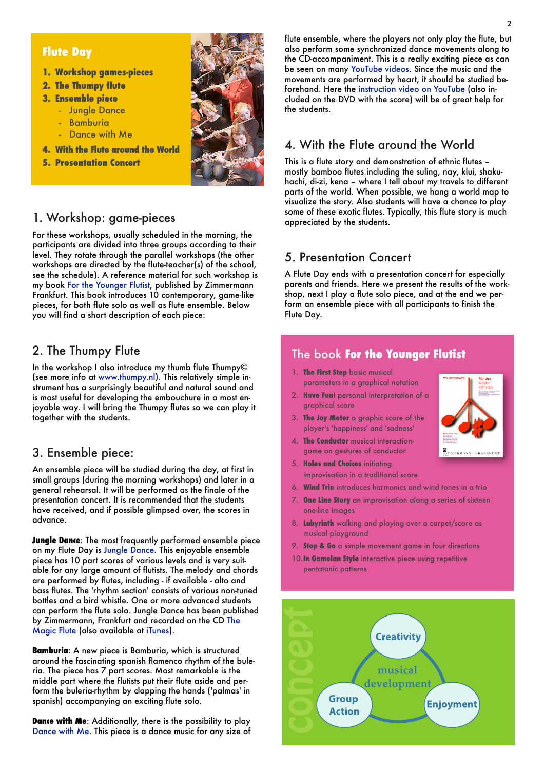### **Flute Day**

- **1. Workshop games-pieces**
- **2. The Thumpy flute**
- **3. Ensemble piece**
	- Jungle Dance
	- Bamburia
	- Dance with Me
- **4. With the Flute around the World**
- **5. Presentation Concert**



### 1. Workshop: game-pieces

For these workshops, usually scheduled in the morning, the participants are divided into three groups according to their level. They rotate through the parallel workshops (the other workshops are directed by the flute-teacher(s) of the school, see the schedule). A reference material for such workshop is my book [For the Younger Flutist](http://www.studioe-mc.com/shop/for-the-younger-flutist.html), published by Zimmermann Frankfurt. This book introduces 10 contemporary, game-like pieces, for both flute solo as well as flute ensemble. Below you will find a short description of each piece:

## 2. The Thumpy Flute

In the workshop I also introduce my thumb flute Thumpy© (see more info at [www.thumpy.nl\)](http://www.thumpy.nl). This relatively simple instrument has a surprisingly beautiful and natural sound and is most useful for developing the embouchure in a most enjoyable way. I will bring the Thumpy flutes so we can play it together with the students.

### 3. Ensemble piece:

An ensemble piece will be studied during the day, at first in small groups (during the morning workshops) and later in a general rehearsal. It will be performed as the finale of the presentation concert. It is recommended that the students have received, and if possible glimpsed over, the scores in advance.

**Jungle Dance**: The most frequently performed ensemble piece on my Flute Day is [Jungle Dance.](http://www.studioe-mc.com/shop/jungle-dance.html) This enjoyable ensemble piece has 10 part scores of various levels and is very suitable for any large amount of flutists. The melody and chords are performed by flutes, including - if available - alto and bass flutes. The 'rhythm section' consists of various non-tuned bottles and a bird whistle. One or more advanced students can perform the flute solo. Jungle Dance has been published by Zimmermann, Frankfurt and recorded on the CD [The](http://www.studioe-mc.com/shop/the-magic-flute-cd.html)  [Magic Flute](http://www.studioe-mc.com/shop/the-magic-flute-cd.html) (also available at [iTunes\)](http://ax.search.itunes.apple.com/WebObjects/MZSearch.woa/wa/advancedSearch?allArtistNames=Wil+Offermans&entity=album&genreIndex=1&media=all&page=1&restrict=true&startIndex=0).

**Bamburia**: A new piece is Bamburia, which is structured around the fascinating spanish flamenco rhythm of the buleria. The piece has 7 part scores. Most remarkable is the middle part where the flutists put their flute aside and perform the buleria-rhythm by clapping the hands ('palmas' in spanish) accompanying an exciting flute solo.

**Dance with Me**: Additionally, there is the possibility to play [Dance with Me.](http://www.studioe-mc.com/shop/dance-with-me.html) This piece is a dance music for any size of flute ensemble, where the players not only play the flute, but also perform some synchronized dance movements along to the CD-accompaniment. This is a really exciting piece as can be seen on many [YouTube videos](http://www.youtube.com/results?search_query=Dance+with+Me+Wil+Offermans&aq=f). Since the music and the movements are performed by heart, it should be studied beforehand. Here the [instruction video on YouTube](http://www.youtube.com/watch?v=G_nH02qmDSs) (also included on the DVD with the score) will be of great help for the students.

## 4. With the Flute around the World

This is a flute story and demonstration of ethnic flutes – mostly bamboo flutes including the suling, nay, klui, shakuhachi, di-zi, kena – where I tell about my travels to different parts of the world. When possible, we hang a world map to visualize the story. Also students will have a chance to play some of these exotic flutes. Typically, this flute story is much appreciated by the students.

## 5. Presentation Concert

A Flute Day ends with a presentation concert for especially parents and friends. Here we present the results of the workshop, next I play a flute solo piece, and at the end we perform an ensemble piece with all participants to finish the Flute Day.

## The book **For the Younger Flutist**

- 1. **The First Step** basic musical parameters in a graphical notation
- 2. **Have Fun**! personal interpretation of a graphical score
- 3. **The Joy Meter** a graphic score of the player's 'happiness' and 'sadness'
- 4. **The Conductor** musical interactiongame on gestures of conductor
- 5. **Holes and Choices** initiating improvisation in a traditional score
- 6. **Wind Trio** introduces harmonics and wind tones in a trio
- 7. **One Line Story** an improvisation along a series of sixteen one-line images
- 8. **Labyrinth** walking and playing over a carpet/score as musical playground
- 9. **Stop & Go** a simple movement game in four directions
- 10.**In Gamelan Style** interactive piece using repetitive pentatonic patterns



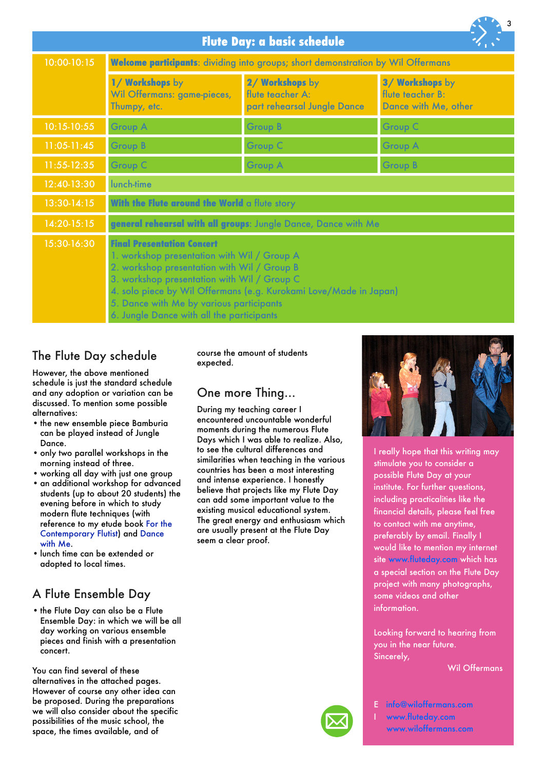|                                    |                                                                                                                                                                                                                                                                                                                                              |                                                                    | 3                                                           |
|------------------------------------|----------------------------------------------------------------------------------------------------------------------------------------------------------------------------------------------------------------------------------------------------------------------------------------------------------------------------------------------|--------------------------------------------------------------------|-------------------------------------------------------------|
| <b>Flute Day: a basic schedule</b> |                                                                                                                                                                                                                                                                                                                                              |                                                                    |                                                             |
| 10:00-10:15                        | Welcome participants: dividing into groups; short demonstration by Wil Offermans                                                                                                                                                                                                                                                             |                                                                    |                                                             |
|                                    | 1/ Workshops by<br>Wil Offermans: game-pieces,<br>Thumpy, etc.                                                                                                                                                                                                                                                                               | 2/ Workshops by<br>flute teacher A:<br>part rehearsal Jungle Dance | 3/ Workshops by<br>flute teacher B:<br>Dance with Me, other |
| 10:15-10:55                        | <b>Group A</b>                                                                                                                                                                                                                                                                                                                               | <b>Group B</b>                                                     | <b>Group C</b>                                              |
| $11:05-11:45$                      | <b>Group B</b>                                                                                                                                                                                                                                                                                                                               | <b>Group C</b>                                                     | <b>Group A</b>                                              |
| $11:55-12:35$                      | <b>Group C</b>                                                                                                                                                                                                                                                                                                                               | <b>Group A</b>                                                     | <b>Group B</b>                                              |
| 12:40-13:30                        | lunch-time                                                                                                                                                                                                                                                                                                                                   |                                                                    |                                                             |
| $13:30-14:15$                      | With the Flute around the World a flute story                                                                                                                                                                                                                                                                                                |                                                                    |                                                             |
| $14:20-15:15$                      | general rehearsal with all groups: Jungle Dance, Dance with Me                                                                                                                                                                                                                                                                               |                                                                    |                                                             |
| $\overline{15:}30-16:30$           | <b>Final Presentation Concert</b><br>1. workshop presentation with Wil / Group A<br>2. workshop presentation with Wil / Group B<br>3. workshop presentation with Wil / Group C<br>4. solo piece by Wil Offermans (e.g. Kurokami Love/Made in Japan)<br>5. Dance with Me by various participants<br>6. Jungle Dance with all the participants |                                                                    |                                                             |

## The Flute Day schedule

However, the above mentioned schedule is just the standard schedule and any adoption or variation can be discussed. To mention some possible alternatives:

- the new ensemble piece Bamburia can be played instead of Jungle Dance.
- only two parallel workshops in the morning instead of three.
- working all day with just one group
- an additional workshop for advanced students (up to about 20 students) the evening before in which to study modern flute techniques (with reference to my etude book [For the](http://www.studioe-mc.com/shop/for-the-contemporary-flutist.html)  [Contemporary Flutist\)](http://www.studioe-mc.com/shop/for-the-contemporary-flutist.html) and [Dance](http://www.studioe-mc.com/shop/dance-with-me.html)  [with Me](http://www.studioe-mc.com/shop/dance-with-me.html).
- lunch time can be extended or adopted to local times.

## A Flute Ensemble Day

• the Flute Day can also be a Flute Ensemble Day: in which we will be all day working on various ensemble pieces and finish with a presentation concert.

You can find several of these alternatives in the attached pages. However of course any other idea can be proposed. During the preparations we will also consider about the specific possibilities of the music school, the space, the times available, and of

### course the amount of students expected.

## One more Thing…

During my teaching career I encountered uncountable wonderful moments during the numerous Flute Days which I was able to realize. Also, to see the cultural differences and similarities when teaching in the various countries has been a most interesting and intense experience. I honestly believe that projects like my Flute Day can add some important value to the existing musical educational system. The great energy and enthusiasm which are usually present at the Flute Day seem a clear proof.



I really hope that this writing may stimulate you to consider a possible Flute Day at your institute. For further questions, including practicalities like the financial details, please feel free to contact with me anytime, preferably by email. Finally I would like to mention my internet site [www.fluteday.com](http://www.fluteday.com/en/) which has a special section on the Flute Day project with many photographs, some videos and other information.

Looking forward to hearing from you in the near future. Sincerely,

Wil Offermans

- E [info@wiloffermans.com](mailto:info@wiloffermans.com)
- I [www.fluteday.com](http://www.fluteday.com/en/) [www.wiloffermans.com](http://www.wiloffermans.com)

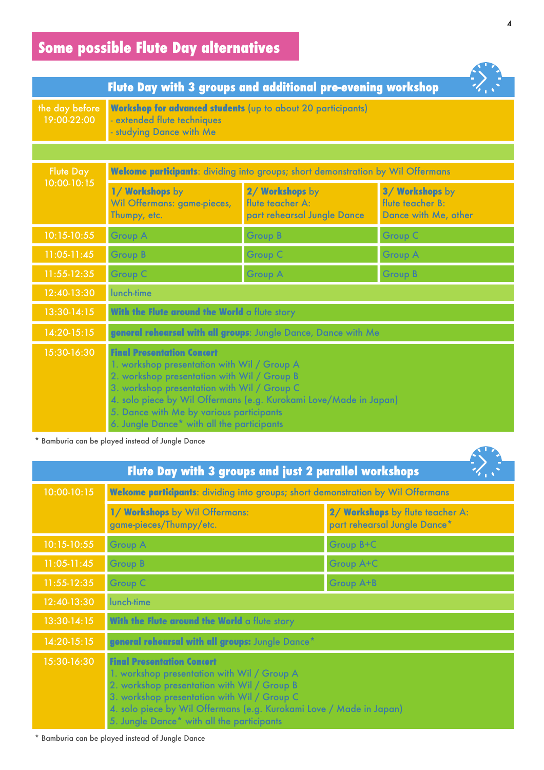|                               | Flute Day with 3 groups and additional pre-evening workshop                                                                                                                                                                                                                                                                                   |                                                                    |                                                             |
|-------------------------------|-----------------------------------------------------------------------------------------------------------------------------------------------------------------------------------------------------------------------------------------------------------------------------------------------------------------------------------------------|--------------------------------------------------------------------|-------------------------------------------------------------|
| the day before<br>19:00-22:00 | <b>Workshop for advanced students</b> (up to about 20 participants)<br>- extended flute techniques<br>- studying Dance with Me                                                                                                                                                                                                                |                                                                    |                                                             |
|                               |                                                                                                                                                                                                                                                                                                                                               |                                                                    |                                                             |
| <b>Flute Day</b>              | Welcome participants: dividing into groups; short demonstration by Wil Offermans                                                                                                                                                                                                                                                              |                                                                    |                                                             |
| 10:00-10:15                   | 1/ Workshops by<br>Wil Offermans: game-pieces,<br>Thumpy, etc.                                                                                                                                                                                                                                                                                | 2/ Workshops by<br>flute teacher A:<br>part rehearsal Jungle Dance | 3/ Workshops by<br>flute teacher B:<br>Dance with Me, other |
| 10:15-10:55                   | <b>Group A</b>                                                                                                                                                                                                                                                                                                                                | <b>Group B</b>                                                     | <b>Group C</b>                                              |
| $11:05-11:45$                 | <b>Group B</b>                                                                                                                                                                                                                                                                                                                                | <b>Group C</b>                                                     | <b>Group A</b>                                              |
| 11:55-12:35                   | <b>Group C</b>                                                                                                                                                                                                                                                                                                                                | <b>Group A</b>                                                     | <b>Group B</b>                                              |
| 12:40-13:30                   | lunch-time                                                                                                                                                                                                                                                                                                                                    |                                                                    |                                                             |
| 13:30-14:15                   | With the Flute around the World a flute story                                                                                                                                                                                                                                                                                                 |                                                                    |                                                             |
| $14:20-15:15$                 | general rehearsal with all groups: Jungle Dance, Dance with Me                                                                                                                                                                                                                                                                                |                                                                    |                                                             |
| 15:30-16:30                   | <b>Final Presentation Concert</b><br>1. workshop presentation with Wil / Group A<br>2. workshop presentation with Wil / Group B<br>3. workshop presentation with Wil / Group C<br>4. solo piece by Wil Offermans (e.g. Kurokami Love/Made in Japan)<br>5. Dance with Me by various participants<br>6. Jungle Dance* with all the participants |                                                                    |                                                             |

# **Some possible Flute Day alternatives**

\* Bamburia can be played instead of Jungle Dance

|               | Flute Day with 3 groups and just 2 parallel workshops                                                                                                                                                                                                                                               |                                                                  |
|---------------|-----------------------------------------------------------------------------------------------------------------------------------------------------------------------------------------------------------------------------------------------------------------------------------------------------|------------------------------------------------------------------|
| 10:00-10:15   | Welcome participants: dividing into groups; short demonstration by Wil Offermans                                                                                                                                                                                                                    |                                                                  |
|               | 1/ Workshops by Wil Offermans:<br>game-pieces/Thumpy/etc.                                                                                                                                                                                                                                           | 2/ Workshops by flute teacher A:<br>part rehearsal Jungle Dance* |
| 10:15-10:55   | <b>Group A</b>                                                                                                                                                                                                                                                                                      | Group B+C                                                        |
| $11:05-11:45$ | <b>Group B</b>                                                                                                                                                                                                                                                                                      | <b>Group A+C</b>                                                 |
| 11:55-12:35   | <b>Group C</b>                                                                                                                                                                                                                                                                                      | <b>Group A+B</b>                                                 |
| 12:40-13:30   | lunch-time                                                                                                                                                                                                                                                                                          |                                                                  |
| 13:30-14:15   | With the Flute around the World a flute story                                                                                                                                                                                                                                                       |                                                                  |
| 14:20-15:15   | general rehearsal with all groups: Jungle Dance*                                                                                                                                                                                                                                                    |                                                                  |
| 15:30-16:30   | <b>Final Presentation Concert</b><br>1. workshop presentation with Wil / Group A<br>2. workshop presentation with Wil / Group B<br>3. workshop presentation with Wil / Group C<br>4. solo piece by Wil Offermans (e.g. Kurokami Love / Made in Japan)<br>5. Jungle Dance* with all the participants |                                                                  |

\* Bamburia can be played instead of Jungle Dance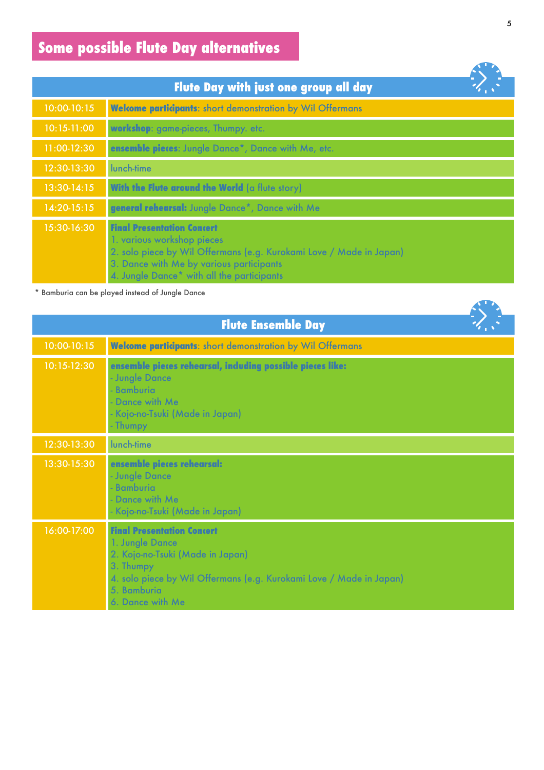# **Some possible Flute Day alternatives**

|               | Flute Day with just one group all day                                                                                                                                                                                            |  |
|---------------|----------------------------------------------------------------------------------------------------------------------------------------------------------------------------------------------------------------------------------|--|
| 10:00-10:15   | <b>Welcome participants:</b> short demonstration by Wil Offermans                                                                                                                                                                |  |
| $10:15-11:00$ | workshop: game-pieces, Thumpy. etc.                                                                                                                                                                                              |  |
| 11:00-12:30   | ensemble pieces: Jungle Dance*, Dance with Me, etc.                                                                                                                                                                              |  |
| 12:30-13:30   | lunch-time                                                                                                                                                                                                                       |  |
| 13:30-14:15   | With the Flute around the World (a flute story)                                                                                                                                                                                  |  |
| 14:20-15:15   | general rehearsal: Jungle Dance*, Dance with Me                                                                                                                                                                                  |  |
| 15:30-16:30   | <b>Final Presentation Concert</b><br>1. various workshop pieces<br>2. solo piece by Wil Offermans (e.g. Kurokami Love / Made in Japan)<br>3. Dance with Me by various participants<br>4. Jungle Dance* with all the participants |  |

\* Bamburia can be played instead of Jungle Dance

|             | <b>Flute Ensemble Day</b>                                                                                                                                                                                       |
|-------------|-----------------------------------------------------------------------------------------------------------------------------------------------------------------------------------------------------------------|
| 10:00-10:15 | <b>Welcome participants:</b> short demonstration by Wil Offermans                                                                                                                                               |
| 10:15-12:30 | ensemble pieces rehearsal, including possible pieces like:<br>- Jungle Dance<br>Bamburia<br>- Dance with Me<br>- Kojo-no-Tsuki (Made in Japan)<br>- Thumpy                                                      |
| 12:30-13:30 | lunch-time                                                                                                                                                                                                      |
| 13:30-15:30 | ensemble pieces rehearsal:<br>- Jungle Dance<br><b>Bamburia</b><br>- Dance with Me<br>- Kojo-no-Tsuki (Made in Japan)                                                                                           |
| 16:00-17:00 | <b>Final Presentation Concert</b><br>1. Jungle Dance<br>2. Kojo-no-Tsuki (Made in Japan)<br>3. Thumpy<br>4. solo piece by Wil Offermans (e.g. Kurokami Love / Made in Japan)<br>5. Bamburia<br>6. Dance with Me |

**All De** 

**All De**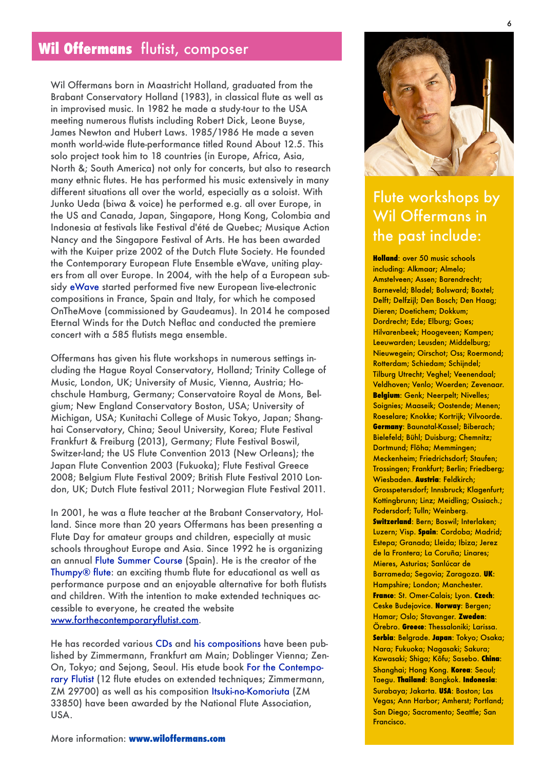Wil Offermans born in Maastricht Holland, graduated from the Brabant Conservatory Holland (1983), in classical flute as well as in improvised music. In 1982 he made a study-tour to the USA meeting numerous flutists including Robert Dick, Leone Buyse, James Newton and Hubert Laws. 1985/1986 He made a seven month world-wide flute-performance titled Round About 12.5. This solo project took him to 18 countries (in Europe, Africa, Asia, North &; South America) not only for concerts, but also to research many ethnic flutes. He has performed his music extensively in many different situations all over the world, especially as a soloist. With Junko Ueda (biwa & voice) he performed e.g. all over Europe, in the US and Canada, Japan, Singapore, Hong Kong, Colombia and Indonesia at festivals like Festival d'été de Quebec; Musique Action Nancy and the Singapore Festival of Arts. He has been awarded with the Kuiper prize 2002 of the Dutch Flute Society. He founded the Contemporary European Flute Ensemble eWave, uniting players from all over Europe. In 2004, with the help of a European subsidy [eWave](http://www.ewave-project.com/) started performed five new European live-electronic compositions in France, Spain and Italy, for which he composed OnTheMove (commissioned by Gaudeamus). In 2014 he composed Eternal Winds for the Dutch Neflac and conducted the premiere concert with a 585 flutists mega ensemble.

Offermans has given his flute workshops in numerous settings including the Hague Royal Conservatory, Holland; Trinity College of Music, London, UK; University of Music, Vienna, Austria; Hochschule Hamburg, Germany; Conservatoire Royal de Mons, Belgium; New England Conservatory Boston, USA; University of Michigan, USA; Kunitachi College of Music Tokyo, Japan; Shanghai Conservatory, China; Seoul University, Korea; Flute Festival Frankfurt & Freiburg (2013), Germany; Flute Festival Boswil, Switzer-land; the US Flute Convention 2013 (New Orleans); the Japan Flute Convention 2003 (Fukuoka); Flute Festival Greece 2008; Belgium Flute Festival 2009; British Flute Festival 2010 London, UK; Dutch Flute festival 2011; Norwegian Flute Festival 2011.

In 2001, he was a flute teacher at the Brabant Conservatory, Holland. Since more than 20 years Offermans has been presenting a Flute Day for amateur groups and children, especially at music schools throughout Europe and Asia. Since 1992 he is organizing an annual [Flute Summer Course](http://www.flutesummercourse.com) (Spain). He is the creator of the [Thumpy® flute:](http://www.thumpy.nl) an exciting thumb flute for educational as well as performance purpose and an enjoyable alternative for both flutists and children. With the intention to make extended techniques accessible to everyone, he created the website [www.forthecontemporaryflutist.com](http://www.forthecontemporaryflutist.com).

He has recorded various [CDs](http://www.studioe-mc.com/shop/cds/wil-offermans.html) and [his compositions](http://www.studioe-mc.com/shop/music-scores.html) have been published by Zimmermann, Frankfurt am Main; Doblinger Vienna; Zen-On, Tokyo; and Sejong, Seoul. His etude book [For the Contempo](http://www.studioe-mc.com/shop/for-the-contemporary-flutist.html)[rary Flutist](http://www.studioe-mc.com/shop/for-the-contemporary-flutist.html) (12 flute etudes on extended techniques; Zimmermann, ZM 29700) as well as his composition [Itsuki-no-Komoriuta](http://www.studioe-mc.com/shop/itsuki-no-komoriuta.html) (ZM 33850) have been awarded by the National Flute Association, USA.



## Flute workshops by Wil Offermans in the past include:

**Holland**: over 50 music schools including: Alkmaar; Almelo; Amstelveen; Assen; Barendrecht; Barneveld; Bladel; Bolsward; Boxtel; Delft; Delfzijl; Den Bosch; Den Haag; Dieren; Doetichem; Dokkum; Dordrecht; Ede; Elburg; Goes; Hilvarenbeek; Hoogeveen; Kampen; Leeuwarden; Leusden; Middelburg; Nieuwegein; Oirschot; Oss; Roermond; Rotterdam; Schiedam; Schijndel; Tilburg Utrecht; Veghel; Veenendaal; Veldhoven; Venlo; Woerden; Zevenaar. **Belgium**: Genk; Neerpelt; Nivelles; Soignies; Maaseik; Oostende; Menen; Roeselare; Knokke; Kortrijk; Vilvoorde. **Germany**: Baunatal-Kassel; Biberach; Bielefeld; Bühl; Duisburg; Chemnitz; Dortmund; Flöha; Memmingen; Meckenheim; Friedrichsdorf; Staufen; Trossingen; Frankfurt; Berlin; Friedberg; Wiesbaden. **Austria**: Feldkirch; Grosspetersdorf; Innsbruck; Klagenfurt; Kottingbrunn; Linz; Meidling; Ossiach.; Podersdorf; Tulln; Weinberg. **Switzerland**: Bern; Boswil; Interlaken; Luzern; Visp. **Spain**: Cordoba; Madrid; Estepa; Granada; Lleida; Ibiza; Jerez de la Frontera; La Coruña; Linares; Mieres, Asturias; Sanlúcar de Barrameda; Segovia; Zaragoza. **UK**: Hampshire; London; Manchester. **France**: St. Omer-Calais; Lyon. **Czech**: Ceske Budejovice. **Norway**: Bergen; Hamar; Oslo; Stavanger. **Zweden**: Örebro. **Greece**: Thessaloniki; Larissa. **Serbia**: Belgrade. **Japan**: Tokyo; Osaka; Nara; Fukuoka; Nagasaki; Sakura; Kawasaki; Shiga; Kôfu; Sasebo. **China**: Shanghai; Hong Kong. **Korea**: Seoul; Taegu. **Thailand**: Bangkok. **Indonesia**: Surabaya; Jakarta. **USA**: Boston; Las Vegas; Ann Harbor; Amherst; Portland; San Diego; Sacramento; Seattle; San Francisco.